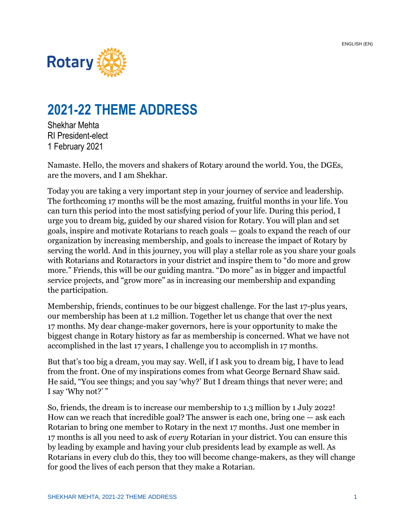

## **2021-22 THEME ADDRESS**

Shekhar Mehta RI President-elect 1 February 2021

Namaste. Hello, the movers and shakers of Rotary around the world. You, the DGEs, are the movers, and I am Shekhar.

Today you are taking a very important step in your journey of service and leadership. The forthcoming 17 months will be the most amazing, fruitful months in your life. You can turn this period into the most satisfying period of your life. During this period, I urge you to dream big, guided by our shared vision for Rotary. You will plan and set goals, inspire and motivate Rotarians to reach goals — goals to expand the reach of our organization by increasing membership, and goals to increase the impact of Rotary by serving the world. And in this journey, you will play a stellar role as you share your goals with Rotarians and Rotaractors in your district and inspire them to "do more and grow more." Friends, this will be our guiding mantra. "Do more" as in bigger and impactful service projects, and "grow more" as in increasing our membership and expanding the participation.

Membership, friends, continues to be our biggest challenge. For the last 17-plus years, our membership has been at 1.2 million. Together let us change that over the next 17 months. My dear change-maker governors, here is your opportunity to make the biggest change in Rotary history as far as membership is concerned. What we have not accomplished in the last 17 years, I challenge you to accomplish in 17 months.

But that's too big a dream, you may say. Well, if I ask you to dream big, I have to lead from the front. One of my inspirations comes from what George Bernard Shaw said. He said, "You see things; and you say 'why?' But I dream things that never were; and I say 'Why not?' "

So, friends, the dream is to increase our membership to 1.3 million by 1 July 2022! How can we reach that incredible goal? The answer is each one, bring one — ask each Rotarian to bring one member to Rotary in the next 17 months. Just one member in 17 months is all you need to ask of *every* Rotarian in your district. You can ensure this by leading by example and having your club presidents lead by example as well. As Rotarians in every club do this, they too will become change-makers, as they will change for good the lives of each person that they make a Rotarian.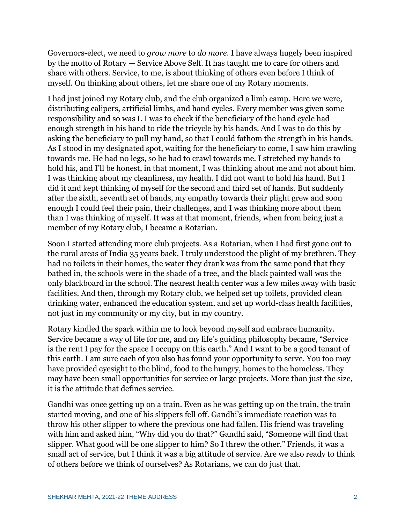Governors-elect, we need to *grow more* to *do more*. I have always hugely been inspired by the motto of Rotary — Service Above Self. It has taught me to care for others and share with others. Service, to me, is about thinking of others even before I think of myself. On thinking about others, let me share one of my Rotary moments.

I had just joined my Rotary club, and the club organized a limb camp. Here we were, distributing calipers, artificial limbs, and hand cycles. Every member was given some responsibility and so was I. I was to check if the beneficiary of the hand cycle had enough strength in his hand to ride the tricycle by his hands. And I was to do this by asking the beneficiary to pull my hand, so that I could fathom the strength in his hands. As I stood in my designated spot, waiting for the beneficiary to come, I saw him crawling towards me. He had no legs, so he had to crawl towards me. I stretched my hands to hold his, and I'll be honest, in that moment, I was thinking about me and not about him. I was thinking about my cleanliness, my health. I did not want to hold his hand. But I did it and kept thinking of myself for the second and third set of hands. But suddenly after the sixth, seventh set of hands, my empathy towards their plight grew and soon enough I could feel their pain, their challenges, and I was thinking more about them than I was thinking of myself. It was at that moment, friends, when from being just a member of my Rotary club, I became a Rotarian.

Soon I started attending more club projects. As a Rotarian, when I had first gone out to the rural areas of India 35 years back, I truly understood the plight of my brethren. They had no toilets in their homes, the water they drank was from the same pond that they bathed in, the schools were in the shade of a tree, and the black painted wall was the only blackboard in the school. The nearest health center was a few miles away with basic facilities. And then, through my Rotary club, we helped set up toilets, provided clean drinking water, enhanced the education system, and set up world-class health facilities, not just in my community or my city, but in my country.

Rotary kindled the spark within me to look beyond myself and embrace humanity. Service became a way of life for me, and my life's guiding philosophy became, "Service is the rent I pay for the space I occupy on this earth." And I want to be a good tenant of this earth. I am sure each of you also has found your opportunity to serve. You too may have provided eyesight to the blind, food to the hungry, homes to the homeless. They may have been small opportunities for service or large projects. More than just the size, it is the attitude that defines service.

Gandhi was once getting up on a train. Even as he was getting up on the train, the train started moving, and one of his slippers fell off. Gandhi's immediate reaction was to throw his other slipper to where the previous one had fallen. His friend was traveling with him and asked him, "Why did you do that?" Gandhi said, "Someone will find that slipper. What good will be one slipper to him? So I threw the other." Friends, it was a small act of service, but I think it was a big attitude of service. Are we also ready to think of others before we think of ourselves? As Rotarians, we can do just that.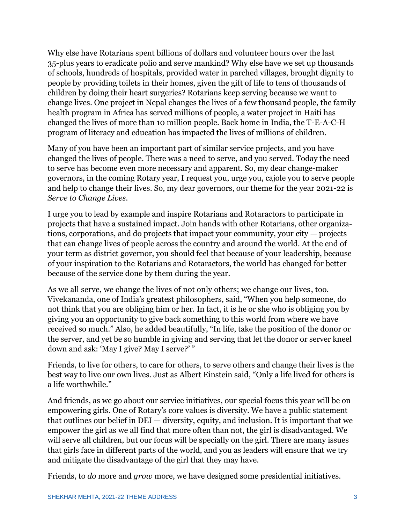Why else have Rotarians spent billions of dollars and volunteer hours over the last 35-plus years to eradicate polio and serve mankind? Why else have we set up thousands of schools, hundreds of hospitals, provided water in parched villages, brought dignity to people by providing toilets in their homes, given the gift of life to tens of thousands of children by doing their heart surgeries? Rotarians keep serving because we want to change lives. One project in Nepal changes the lives of a few thousand people, the family health program in Africa has served millions of people, a water project in Haiti has changed the lives of more than 10 million people. Back home in India, the T-E-A-C-H program of literacy and education has impacted the lives of millions of children.

Many of you have been an important part of similar service projects, and you have changed the lives of people. There was a need to serve, and you served. Today the need to serve has become even more necessary and apparent. So, my dear change-maker governors, in the coming Rotary year, I request you, urge you, cajole you to serve people and help to change their lives. So, my dear governors, our theme for the year 2021-22 is *Serve to Change Lives*.

I urge you to lead by example and inspire Rotarians and Rotaractors to participate in projects that have a sustained impact. Join hands with other Rotarians, other organizations, corporations, and do projects that impact your community, your city — projects that can change lives of people across the country and around the world. At the end of your term as district governor, you should feel that because of your leadership, because of your inspiration to the Rotarians and Rotaractors, the world has changed for better because of the service done by them during the year.

As we all serve, we change the lives of not only others; we change our lives, too. Vivekananda, one of India's greatest philosophers, said, "When you help someone, do not think that you are obliging him or her. In fact, it is he or she who is obliging you by giving you an opportunity to give back something to this world from where we have received so much." Also, he added beautifully, "In life, take the position of the donor or the server, and yet be so humble in giving and serving that let the donor or server kneel down and ask: 'May I give? May I serve?' "

Friends, to live for others, to care for others, to serve others and change their lives is the best way to live our own lives. Just as Albert Einstein said, "Only a life lived for others is a life worthwhile."

And friends, as we go about our service initiatives, our special focus this year will be on empowering girls. One of Rotary's core values is diversity. We have a public statement that outlines our belief in DEI — diversity, equity, and inclusion. It is important that we empower the girl as we all find that more often than not, the girl is disadvantaged. We will serve all children, but our focus will be specially on the girl. There are many issues that girls face in different parts of the world, and you as leaders will ensure that we try and mitigate the disadvantage of the girl that they may have.

Friends, to *do* more and *grow* more, we have designed some presidential initiatives.